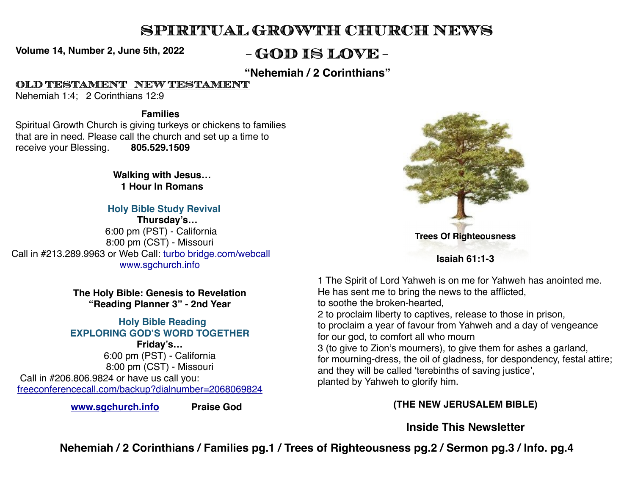# **SPIRITUAL GROWTH CHURCH NEWS**

**Volume 14, Number 2, June 5th, 2022 - GOD IS LOVE -**

**"Nehemiah / 2 Corinthians"**

**OLD TESTAMENT NEW TESTAMENT**

Nehemiah 1:4; 2 Corinthians 12:9

#### **Families**

Spiritual Growth Church is giving turkeys or chickens to families that are in need. Please call the church and set up a time to receive your Blessing. **805.529.1509**

> **Walking with Jesus… 1 Hour In Romans**

#### **Holy Bible Study Revival**

 **Thursday's…** 6:00 pm (PST) - California 8:00 pm (CST) - Missouri Call in #213.289.9963 or Web Call: [turbo bridge.com/webcall](http://turbobridge.com/webcall) [www.sgchurch.info](http://sgchurch.info)

> **The Holy Bible: Genesis to Revelation "Reading Planner 3" - 2nd Year**

 **Holy Bible Reading EXPLORING GOD'S WORD TOGETHER Friday's…** 6:00 pm (PST) - California

8:00 pm (CST) - Missouri Call in #206.806.9824 or have us call you: [freeconferencecall.com/backup?dialnumber=2068069824](http://freeconferencecall.com/backup?dialnumber=2068069824)

 **[www.sgchurch.info](http://sgchurch.info) Praise God**



**Isaiah 61:1-3**

1 The Spirit of Lord Yahweh is on me for Yahweh has anointed me. He has sent me to bring the news to the afflicted, to soothe the broken-hearted, 2 to proclaim liberty to captives, release to those in prison, to proclaim a year of favour from Yahweh and a day of vengeance for our god, to comfort all who mourn 3 (to give to Zion's mourners), to give them for ashes a garland, for mourning-dress, the oil of gladness, for despondency, festal attire; and they will be called 'terebinths of saving justice', planted by Yahweh to glorify him.

#### **(THE NEW JERUSALEM BIBLE)**

## **Inside This Newsletter**

**Nehemiah / 2 Corinthians / Families pg.1 / Trees of Righteousness pg.2 / Sermon pg.3 / Info. pg.4**